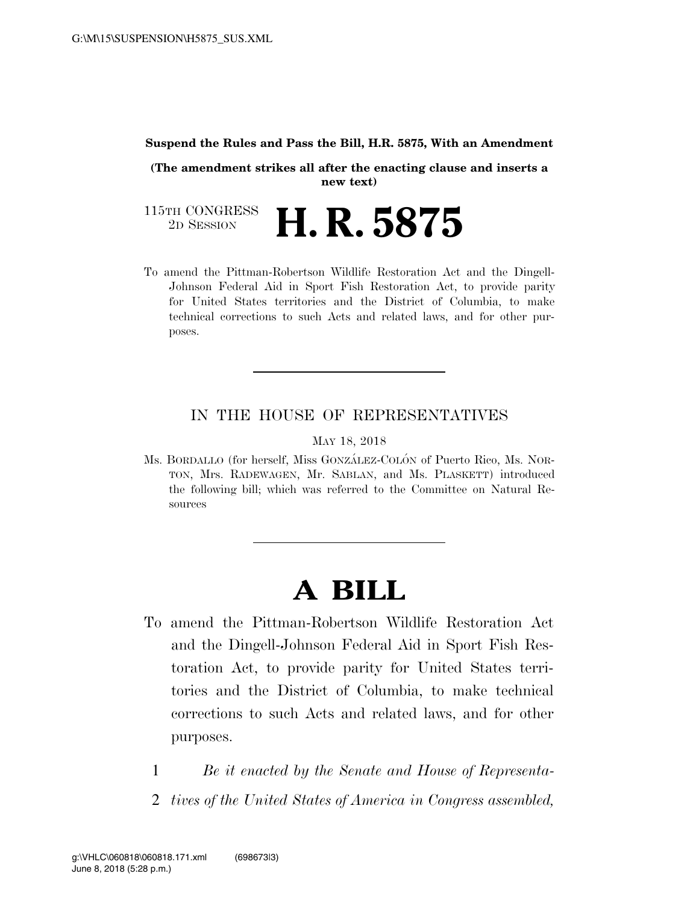#### **Suspend the Rules and Pass the Bill, H.R. 5875, With an Amendment**

**(The amendment strikes all after the enacting clause and inserts a new text)** 

115TH CONGRESS<br>2D SESSION 2D SESSION **H. R. 5875**

To amend the Pittman-Robertson Wildlife Restoration Act and the Dingell-Johnson Federal Aid in Sport Fish Restoration Act, to provide parity for United States territories and the District of Columbia, to make technical corrections to such Acts and related laws, and for other purposes.

## IN THE HOUSE OF REPRESENTATIVES

MAY 18, 2018

Ms. BORDALLO (for herself, Miss GONZÁLEZ-COLÓN of Puerto Rico, Ms. NOR-TON, Mrs. RADEWAGEN, Mr. SABLAN, and Ms. PLASKETT) introduced the following bill; which was referred to the Committee on Natural Resources

# **A BILL**

- To amend the Pittman-Robertson Wildlife Restoration Act and the Dingell-Johnson Federal Aid in Sport Fish Restoration Act, to provide parity for United States territories and the District of Columbia, to make technical corrections to such Acts and related laws, and for other purposes.
	- 1 *Be it enacted by the Senate and House of Representa-*
	- 2 *tives of the United States of America in Congress assembled,*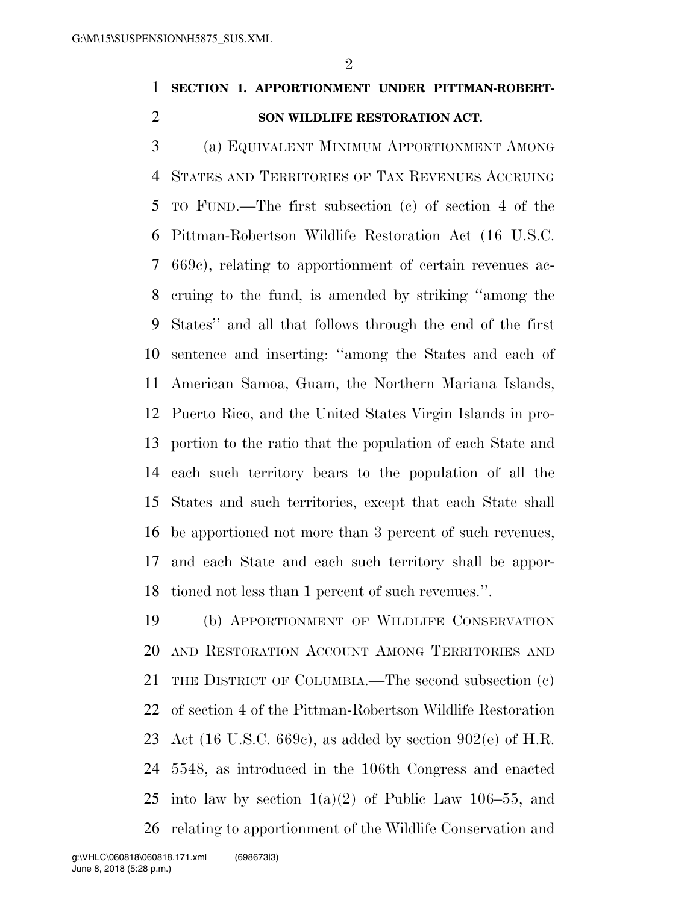$\mathfrak{D}$ 

## **SECTION 1. APPORTIONMENT UNDER PITTMAN-ROBERT-SON WILDLIFE RESTORATION ACT.**

 (a) EQUIVALENT MINIMUM APPORTIONMENT AMONG STATES AND TERRITORIES OF TAX REVENUES ACCRUING TO FUND.—The first subsection (c) of section 4 of the Pittman-Robertson Wildlife Restoration Act (16 U.S.C. 669c), relating to apportionment of certain revenues ac- cruing to the fund, is amended by striking ''among the States'' and all that follows through the end of the first sentence and inserting: ''among the States and each of American Samoa, Guam, the Northern Mariana Islands, Puerto Rico, and the United States Virgin Islands in pro- portion to the ratio that the population of each State and each such territory bears to the population of all the States and such territories, except that each State shall be apportioned not more than 3 percent of such revenues, and each State and each such territory shall be appor-tioned not less than 1 percent of such revenues.''.

 (b) APPORTIONMENT OF WILDLIFE CONSERVATION AND RESTORATION ACCOUNT AMONG TERRITORIES AND THE DISTRICT OF COLUMBIA.—The second subsection (c) of section 4 of the Pittman-Robertson Wildlife Restoration 23 Act (16 U.S.C. 669c), as added by section 902(e) of H.R. 5548, as introduced in the 106th Congress and enacted 25 into law by section  $1(a)(2)$  of Public Law 106–55, and relating to apportionment of the Wildlife Conservation and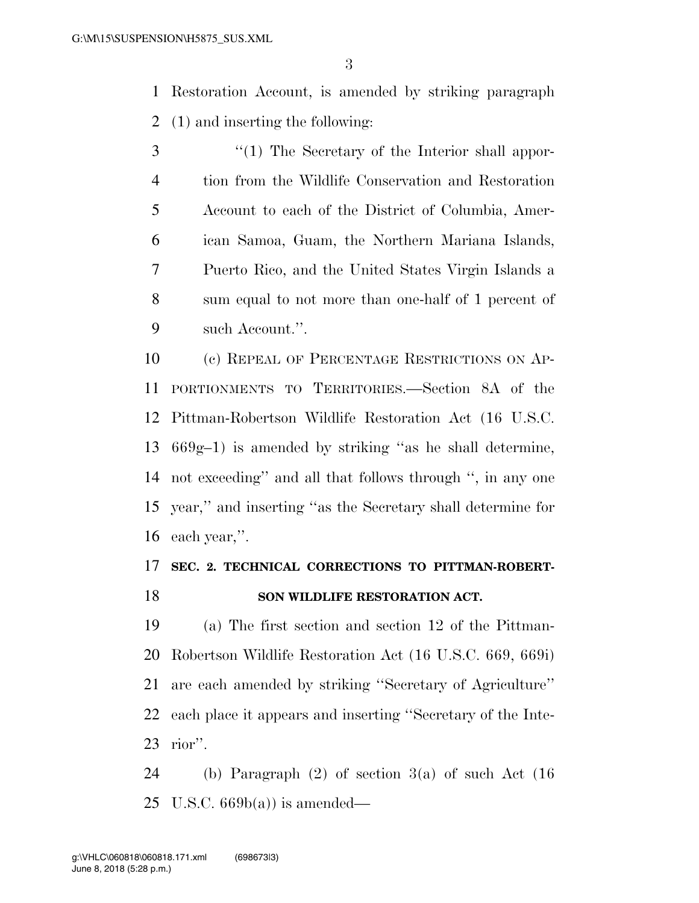Restoration Account, is amended by striking paragraph (1) and inserting the following:

3 ''(1) The Secretary of the Interior shall appor- tion from the Wildlife Conservation and Restoration Account to each of the District of Columbia, Amer- ican Samoa, Guam, the Northern Mariana Islands, Puerto Rico, and the United States Virgin Islands a sum equal to not more than one-half of 1 percent of such Account.''.

 (c) REPEAL OF PERCENTAGE RESTRICTIONS ON AP- PORTIONMENTS TO TERRITORIES.—Section 8A of the Pittman-Robertson Wildlife Restoration Act (16 U.S.C. 669g–1) is amended by striking ''as he shall determine, not exceeding'' and all that follows through '', in any one year,'' and inserting ''as the Secretary shall determine for each year,''.

## **SEC. 2. TECHNICAL CORRECTIONS TO PITTMAN-ROBERT-SON WILDLIFE RESTORATION ACT.**

 (a) The first section and section 12 of the Pittman- Robertson Wildlife Restoration Act (16 U.S.C. 669, 669i) are each amended by striking ''Secretary of Agriculture'' each place it appears and inserting ''Secretary of the Inte-rior''.

 (b) Paragraph (2) of section 3(a) of such Act (16 25 U.S.C.  $669b(a)$  is amended—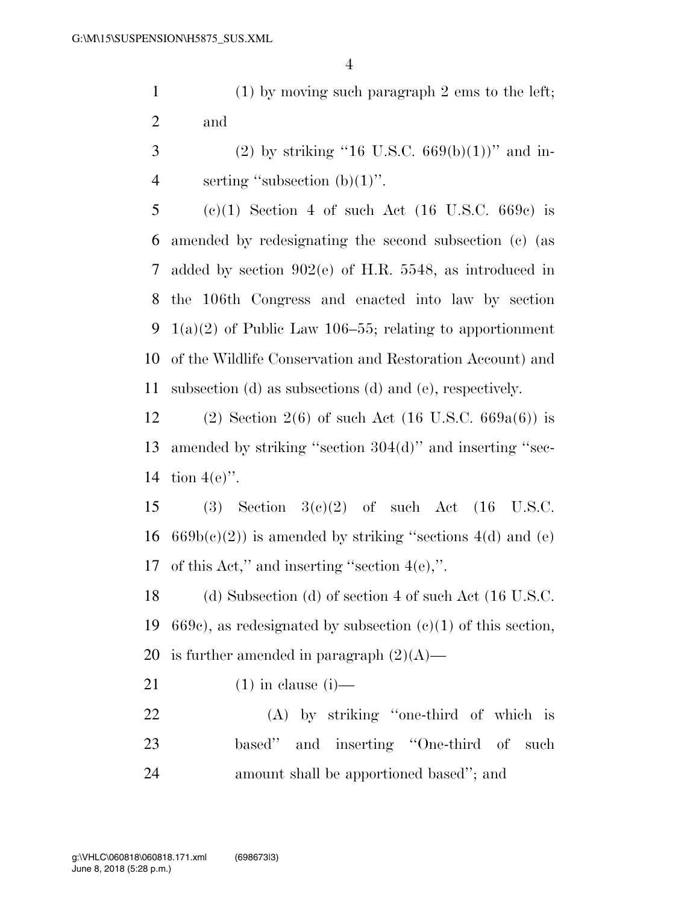1 (1) by moving such paragraph 2 ems to the left; 2 and

3 (2) by striking "16 U.S.C.  $669(b)(1)$ " and in-4 serting "subsection  $(b)(1)$ ".

 (c)(1) Section 4 of such Act (16 U.S.C. 669c) is amended by redesignating the second subsection (c) (as added by section 902(e) of H.R. 5548, as introduced in the 106th Congress and enacted into law by section 9 1(a)(2) of Public Law 106–55; relating to apportionment of the Wildlife Conservation and Restoration Account) and subsection (d) as subsections (d) and (e), respectively.

12 (2) Section 2(6) of such Act (16 U.S.C.  $669a(6)$ ) is 13 amended by striking ''section 304(d)'' and inserting ''sec-14 tion 4(e)''.

15 (3) Section  $3(c)(2)$  of such Act (16 U.S.C. 16  $669b(c)(2)$  is amended by striking "sections 4(d) and (e) 17 of this Act,'' and inserting ''section 4(e),''.

18 (d) Subsection (d) of section 4 of such Act (16 U.S.C. 19 669c), as redesignated by subsection  $(e)(1)$  of this section, 20 is further amended in paragraph  $(2)(A)$ —

21 (1) in clause (i)—

22 (A) by striking ''one-third of which is 23 based'' and inserting ''One-third of such 24 amount shall be apportioned based''; and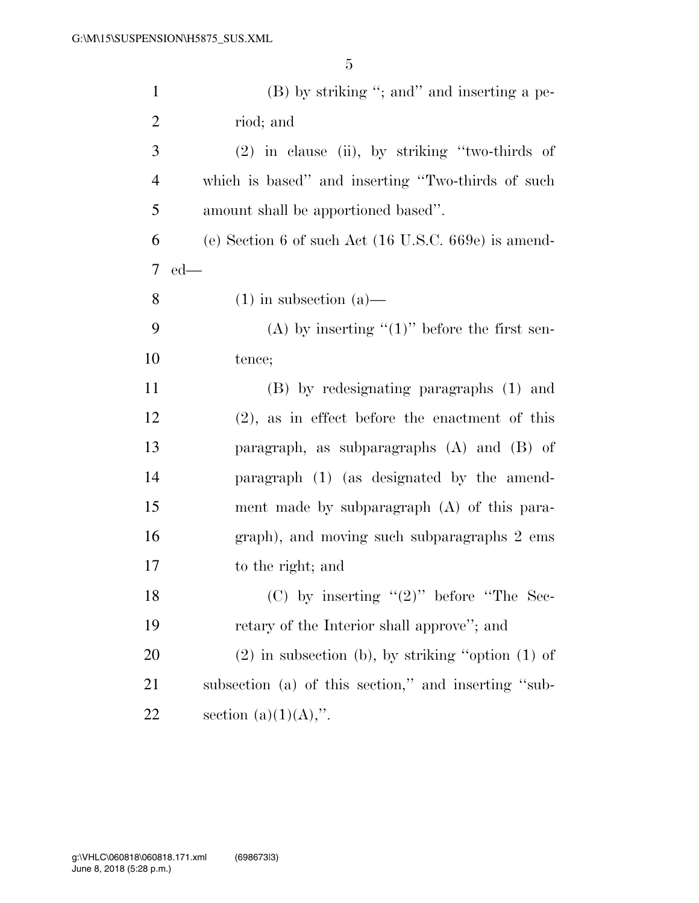| $\mathbf{1}$   | $(B)$ by striking "; and inserting a pe-                        |
|----------------|-----------------------------------------------------------------|
| $\overline{2}$ | riod; and                                                       |
| 3              | $(2)$ in clause (ii), by striking "two-thirds of                |
| $\overline{4}$ | which is based" and inserting "Two-thirds of such               |
| 5              | amount shall be apportioned based".                             |
| 6              | (e) Section 6 of such Act $(16 \text{ U.S.C. } 669e)$ is amend- |
| 7              | $ed$ —                                                          |
| 8              | $(1)$ in subsection $(a)$ —                                     |
| 9              | (A) by inserting " $(1)$ " before the first sen-                |
| 10             | tence;                                                          |
| 11             | (B) by redesignating paragraphs (1) and                         |
| 12             | $(2)$ , as in effect before the enactment of this               |
| 13             | paragraph, as subparagraphs $(A)$ and $(B)$ of                  |
| 14             | paragraph (1) (as designated by the amend-                      |
| 15             | ment made by subparagraph $(A)$ of this para-                   |
| 16             | graph), and moving such subparagraphs 2 ems                     |
| 17             | to the right; and                                               |
| 18             | (C) by inserting " $(2)$ " before "The Sec-                     |
| 19             | retary of the Interior shall approve"; and                      |
| 20             | $(2)$ in subsection (b), by striking "option $(1)$ of           |
| 21             | subsection (a) of this section," and inserting "sub-            |
| 22             | section $(a)(1)(A)$ ,".                                         |